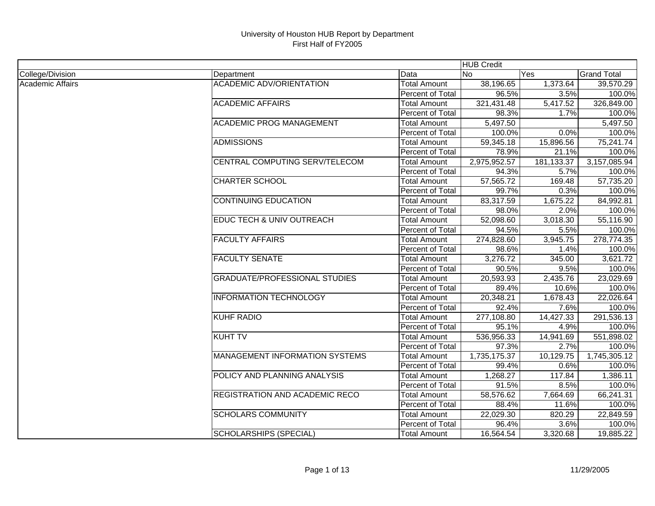|                         |                                       |                     | <b>HUB Credit</b> |            |                    |
|-------------------------|---------------------------------------|---------------------|-------------------|------------|--------------------|
| College/Division        | Department                            | Data                | No                | Yes        | <b>Grand Total</b> |
| <b>Academic Affairs</b> | <b>ACADEMIC ADV/ORIENTATION</b>       | <b>Total Amount</b> | 38,196.65         | 1,373.64   | 39,570.29          |
|                         |                                       | Percent of Total    | 96.5%             | 3.5%       | 100.0%             |
|                         | <b>ACADEMIC AFFAIRS</b>               | <b>Total Amount</b> | 321,431.48        | 5,417.52   | 326,849.00         |
|                         |                                       | Percent of Total    | 98.3%             | 1.7%       | 100.0%             |
|                         | <b>ACADEMIC PROG MANAGEMENT</b>       | <b>Total Amount</b> | 5,497.50          |            | 5,497.50           |
|                         |                                       | Percent of Total    | 100.0%            | 0.0%       | 100.0%             |
|                         | <b>ADMISSIONS</b>                     | <b>Total Amount</b> | 59,345.18         | 15,896.56  | 75,241.74          |
|                         |                                       | Percent of Total    | 78.9%             | 21.1%      | 100.0%             |
|                         | CENTRAL COMPUTING SERV/TELECOM        | <b>Total Amount</b> | 2,975,952.57      | 181,133.37 | 3,157,085.94       |
|                         |                                       | Percent of Total    | 94.3%             | 5.7%       | 100.0%             |
|                         | <b>CHARTER SCHOOL</b>                 | <b>Total Amount</b> | 57,565.72         | 169.48     | 57,735.20          |
|                         |                                       | Percent of Total    | 99.7%             | 0.3%       | 100.0%             |
|                         | <b>CONTINUING EDUCATION</b>           | <b>Total Amount</b> | 83,317.59         | 1,675.22   | 84,992.81          |
|                         |                                       | Percent of Total    | 98.0%             | 2.0%       | 100.0%             |
|                         | EDUC TECH & UNIV OUTREACH             | <b>Total Amount</b> | 52,098.60         | 3,018.30   | 55,116.90          |
|                         |                                       | Percent of Total    | 94.5%             | 5.5%       | 100.0%             |
|                         | <b>FACULTY AFFAIRS</b>                | <b>Total Amount</b> | 274,828.60        | 3,945.75   | 278,774.35         |
|                         |                                       | Percent of Total    | 98.6%             | 1.4%       | 100.0%             |
|                         | <b>FACULTY SENATE</b>                 | <b>Total Amount</b> | 3,276.72          | 345.00     | 3,621.72           |
|                         |                                       | Percent of Total    | 90.5%             | 9.5%       | 100.0%             |
|                         | <b>GRADUATE/PROFESSIONAL STUDIES</b>  | <b>Total Amount</b> | 20,593.93         | 2,435.76   | 23,029.69          |
|                         |                                       | Percent of Total    | 89.4%             | 10.6%      | 100.0%             |
|                         | <b>INFORMATION TECHNOLOGY</b>         | <b>Total Amount</b> | 20,348.21         | 1,678.43   | 22,026.64          |
|                         |                                       | Percent of Total    | 92.4%             | 7.6%       | 100.0%             |
|                         | <b>KUHF RADIO</b>                     | <b>Total Amount</b> | 277,108.80        | 14,427.33  | 291,536.13         |
|                         |                                       | Percent of Total    | 95.1%             | 4.9%       | 100.0%             |
|                         | <b>KUHT TV</b>                        | <b>Total Amount</b> | 536,956.33        | 14,941.69  | 551,898.02         |
|                         |                                       | Percent of Total    | 97.3%             | 2.7%       | 100.0%             |
|                         | <b>MANAGEMENT INFORMATION SYSTEMS</b> | <b>Total Amount</b> | 1,735,175.37      | 10,129.75  | 1,745,305.12       |
|                         |                                       | Percent of Total    | 99.4%             | 0.6%       | 100.0%             |
|                         | POLICY AND PLANNING ANALYSIS          | <b>Total Amount</b> | 1,268.27          | 117.84     | 1,386.11           |
|                         |                                       | Percent of Total    | 91.5%             | 8.5%       | 100.0%             |
|                         | <b>REGISTRATION AND ACADEMIC RECO</b> | Total Amount        | 58,576.62         | 7,664.69   | 66,241.31          |
|                         |                                       | Percent of Total    | 88.4%             | 11.6%      | 100.0%             |
|                         | <b>SCHOLARS COMMUNITY</b>             | <b>Total Amount</b> | 22,029.30         | 820.29     | 22,849.59          |
|                         |                                       | Percent of Total    | 96.4%             | 3.6%       | 100.0%             |
|                         | <b>SCHOLARSHIPS (SPECIAL)</b>         | <b>Total Amount</b> | 16,564.54         | 3,320.68   | 19,885.22          |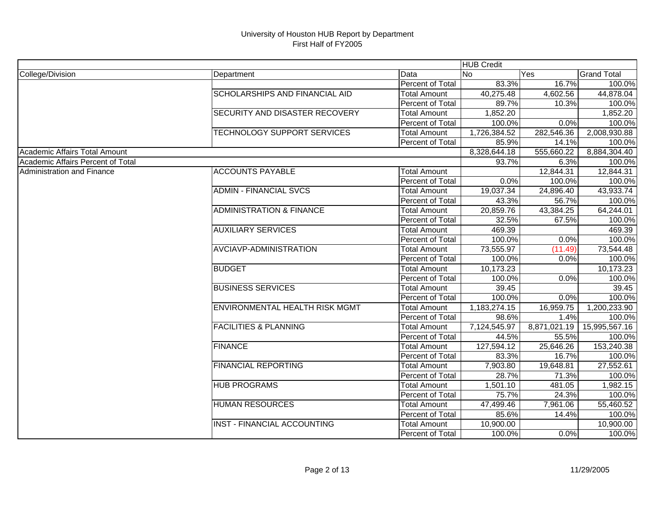|                                   |                                       |                     | <b>HUB Credit</b> |              |                    |
|-----------------------------------|---------------------------------------|---------------------|-------------------|--------------|--------------------|
| College/Division                  | Department                            | Data                | lNo               | Yes          | <b>Grand Total</b> |
|                                   |                                       | Percent of Total    | 83.3%             | 16.7%        | 100.0%             |
|                                   | SCHOLARSHIPS AND FINANCIAL AID        | <b>Total Amount</b> | 40,275.48         | 4,602.56     | 44,878.04          |
|                                   |                                       | Percent of Total    | 89.7%             | 10.3%        | 100.0%             |
|                                   | SECURITY AND DISASTER RECOVERY        | <b>Total Amount</b> | 1,852.20          |              | 1,852.20           |
|                                   |                                       | Percent of Total    | 100.0%            | 0.0%         | 100.0%             |
|                                   | TECHNOLOGY SUPPORT SERVICES           | <b>Total Amount</b> | 1,726,384.52      | 282,546.36   | 2,008,930.88       |
|                                   |                                       | Percent of Total    | 85.9%             | 14.1%        | 100.0%             |
| Academic Affairs Total Amount     |                                       |                     | 8,328,644.18      | 555,660.22   | 8,884,304.40       |
| Academic Affairs Percent of Total |                                       |                     | 93.7%             | 6.3%         | 100.0%             |
| <b>Administration and Finance</b> | <b>ACCOUNTS PAYABLE</b>               | <b>Total Amount</b> |                   | 12,844.31    | 12,844.31          |
|                                   |                                       | Percent of Total    | 0.0%              | 100.0%       | 100.0%             |
|                                   | <b>ADMIN - FINANCIAL SVCS</b>         | <b>Total Amount</b> | 19,037.34         | 24,896.40    | 43,933.74          |
|                                   |                                       | Percent of Total    | 43.3%             | 56.7%        | 100.0%             |
|                                   | <b>ADMINISTRATION &amp; FINANCE</b>   | <b>Total Amount</b> | 20,859.76         | 43,384.25    | 64,244.01          |
|                                   |                                       | Percent of Total    | 32.5%             | 67.5%        | 100.0%             |
|                                   | <b>AUXILIARY SERVICES</b>             | <b>Total Amount</b> | 469.39            |              | 469.39             |
|                                   |                                       | Percent of Total    | 100.0%            | 0.0%         | 100.0%             |
|                                   | AVCIAVP-ADMINISTRATION                | <b>Total Amount</b> | 73,555.97         | (11.49)      | 73,544.48          |
|                                   |                                       | Percent of Total    | 100.0%            | 0.0%         | 100.0%             |
|                                   | <b>BUDGET</b>                         | <b>Total Amount</b> | 10,173.23         |              | 10,173.23          |
|                                   |                                       | Percent of Total    | 100.0%            | 0.0%         | 100.0%             |
|                                   | <b>BUSINESS SERVICES</b>              | <b>Total Amount</b> | 39.45             |              | 39.45              |
|                                   |                                       | Percent of Total    | 100.0%            | 0.0%         | 100.0%             |
|                                   | <b>ENVIRONMENTAL HEALTH RISK MGMT</b> | <b>Total Amount</b> | 1,183,274.15      | 16,959.75    | 1,200,233.90       |
|                                   |                                       | Percent of Total    | 98.6%             | 1.4%         | 100.0%             |
|                                   | <b>FACILITIES &amp; PLANNING</b>      | Total Amount        | 7,124,545.97      | 8,871,021.19 | 15,995,567.16      |
|                                   |                                       | Percent of Total    | 44.5%             | 55.5%        | 100.0%             |
|                                   | <b>FINANCE</b>                        | <b>Total Amount</b> | 127,594.12        | 25,646.26    | 153,240.38         |
|                                   |                                       | Percent of Total    | 83.3%             | 16.7%        | 100.0%             |
|                                   | <b>FINANCIAL REPORTING</b>            | <b>Total Amount</b> | 7,903.80          | 19,648.81    | 27,552.61          |
|                                   |                                       | Percent of Total    | 28.7%             | 71.3%        | 100.0%             |
|                                   | <b>HUB PROGRAMS</b>                   | <b>Total Amount</b> | 1,501.10          | 481.05       | 1,982.15           |
|                                   |                                       | Percent of Total    | 75.7%             | 24.3%        | 100.0%             |
|                                   | <b>HUMAN RESOURCES</b>                | <b>Total Amount</b> | 47,499.46         | 7,961.06     | 55,460.52          |
|                                   |                                       | Percent of Total    | 85.6%             | 14.4%        | 100.0%             |
|                                   | <b>INST - FINANCIAL ACCOUNTING</b>    | <b>Total Amount</b> | 10,900.00         |              | 10,900.00          |
|                                   |                                       | Percent of Total    | 100.0%            | 0.0%         | 100.0%             |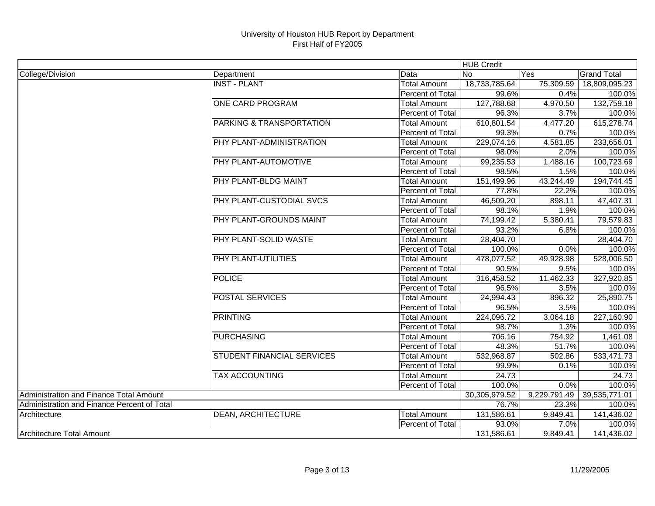|                                             |                                   |                     | <b>HUB Credit</b> |              |                    |
|---------------------------------------------|-----------------------------------|---------------------|-------------------|--------------|--------------------|
| College/Division                            | Department                        | Data                | N <sub>o</sub>    | Yes          | <b>Grand Total</b> |
|                                             | <b>INST - PLANT</b>               | <b>Total Amount</b> | 18,733,785.64     | 75,309.59    | 18,809,095.23      |
|                                             |                                   | Percent of Total    | 99.6%             | 0.4%         | 100.0%             |
|                                             | <b>ONE CARD PROGRAM</b>           | <b>Total Amount</b> | 127,788.68        | 4,970.50     | 132,759.18         |
|                                             |                                   | Percent of Total    | 96.3%             | 3.7%         | 100.0%             |
|                                             | PARKING & TRANSPORTATION          | <b>Total Amount</b> | 610,801.54        | 4,477.20     | 615,278.74         |
|                                             |                                   | Percent of Total    | 99.3%             | 0.7%         | 100.0%             |
|                                             | PHY PLANT-ADMINISTRATION          | <b>Total Amount</b> | 229,074.16        | 4,581.85     | 233,656.01         |
|                                             |                                   | Percent of Total    | 98.0%             | 2.0%         | 100.0%             |
|                                             | PHY PLANT-AUTOMOTIVE              | <b>Total Amount</b> | 99,235.53         | 1,488.16     | 100,723.69         |
|                                             |                                   | Percent of Total    | 98.5%             | 1.5%         | 100.0%             |
|                                             | PHY PLANT-BLDG MAINT              | <b>Total Amount</b> | 151,499.96        | 43,244.49    | 194,744.45         |
|                                             |                                   | Percent of Total    | 77.8%             | 22.2%        | 100.0%             |
|                                             | PHY PLANT-CUSTODIAL SVCS          | <b>Total Amount</b> | 46,509.20         | 898.11       | 47,407.31          |
|                                             |                                   | Percent of Total    | 98.1%             | 1.9%         | 100.0%             |
|                                             | PHY PLANT-GROUNDS MAINT           | <b>Total Amount</b> | 74,199.42         | 5,380.41     | 79,579.83          |
|                                             |                                   | Percent of Total    | 93.2%             | 6.8%         | 100.0%             |
|                                             | PHY PLANT-SOLID WASTE             | Total Amount        | 28,404.70         |              | 28,404.70          |
|                                             |                                   | Percent of Total    | 100.0%            | 0.0%         | 100.0%             |
|                                             | PHY PLANT-UTILITIES               | <b>Total Amount</b> | 478,077.52        | 49,928.98    | 528,006.50         |
|                                             |                                   | Percent of Total    | 90.5%             | 9.5%         | 100.0%             |
|                                             | <b>POLICE</b>                     | <b>Total Amount</b> | 316,458.52        | 11,462.33    | 327,920.85         |
|                                             |                                   | Percent of Total    | 96.5%             | 3.5%         | 100.0%             |
|                                             | <b>POSTAL SERVICES</b>            | <b>Total Amount</b> | 24,994.43         | 896.32       | 25,890.75          |
|                                             |                                   | Percent of Total    | 96.5%             | 3.5%         | 100.0%             |
|                                             | <b>PRINTING</b>                   | <b>Total Amount</b> | 224,096.72        | 3,064.18     | 227,160.90         |
|                                             |                                   | Percent of Total    | 98.7%             | 1.3%         | 100.0%             |
|                                             | <b>PURCHASING</b>                 | Total Amount        | 706.16            | 754.92       | 1,461.08           |
|                                             |                                   | Percent of Total    | 48.3%             | 51.7%        | 100.0%             |
|                                             | <b>STUDENT FINANCIAL SERVICES</b> | <b>Total Amount</b> | 532,968.87        | 502.86       | 533,471.73         |
|                                             |                                   | Percent of Total    | 99.9%             | 0.1%         | 100.0%             |
|                                             | <b>TAX ACCOUNTING</b>             | <b>Total Amount</b> | 24.73             |              | 24.73              |
|                                             |                                   | Percent of Total    | 100.0%            | 0.0%         | 100.0%             |
| Administration and Finance Total Amount     |                                   |                     | 30,305,979.52     | 9,229,791.49 | 39,535,771.01      |
| Administration and Finance Percent of Total |                                   |                     | 76.7%             | 23.3%        | 100.0%             |
| Architecture                                | <b>DEAN, ARCHITECTURE</b>         | <b>Total Amount</b> | 131,586.61        | 9,849.41     | 141,436.02         |
|                                             |                                   | Percent of Total    | 93.0%             | 7.0%         | 100.0%             |
| Architecture Total Amount                   |                                   |                     | 131,586.61        | 9,849.41     | 141,436.02         |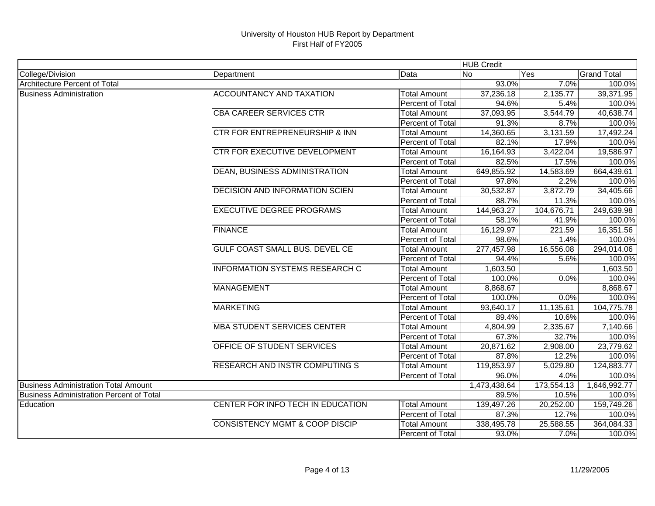|                                                  |                                           |                         | <b>HUB Credit</b> |            |                    |
|--------------------------------------------------|-------------------------------------------|-------------------------|-------------------|------------|--------------------|
| College/Division                                 | Department                                | Data                    | <b>No</b>         | Yes        | <b>Grand Total</b> |
| Architecture Percent of Total                    |                                           |                         | 93.0%             | 7.0%       | 100.0%             |
| <b>Business Administration</b>                   | <b>ACCOUNTANCY AND TAXATION</b>           | <b>Total Amount</b>     | 37,236.18         | 2,135.77   | 39,371.95          |
|                                                  |                                           | Percent of Total        | 94.6%             | 5.4%       | 100.0%             |
|                                                  | <b>CBA CAREER SERVICES CTR</b>            | <b>Total Amount</b>     | 37,093.95         | 3,544.79   | 40,638.74          |
|                                                  |                                           | Percent of Total        | 91.3%             | 8.7%       | 100.0%             |
|                                                  | <b>CTR FOR ENTREPRENEURSHIP &amp; INN</b> | <b>Total Amount</b>     | 14,360.65         | 3,131.59   | 17,492.24          |
|                                                  |                                           | <b>Percent of Total</b> | 82.1%             | 17.9%      | 100.0%             |
|                                                  | CTR FOR EXECUTIVE DEVELOPMENT             | <b>Total Amount</b>     | 16,164.93         | 3,422.04   | 19,586.97          |
|                                                  |                                           | Percent of Total        | 82.5%             | 17.5%      | 100.0%             |
|                                                  | <b>DEAN, BUSINESS ADMINISTRATION</b>      | <b>Total Amount</b>     | 649,855.92        | 14,583.69  | 664,439.61         |
|                                                  |                                           | Percent of Total        | 97.8%             | 2.2%       | 100.0%             |
|                                                  | <b>DECISION AND INFORMATION SCIEN</b>     | <b>Total Amount</b>     | 30,532.87         | 3,872.79   | 34,405.66          |
|                                                  |                                           | Percent of Total        | 88.7%             | 11.3%      | 100.0%             |
|                                                  | <b>EXECUTIVE DEGREE PROGRAMS</b>          | <b>Total Amount</b>     | 144,963.27        | 104,676.71 | 249,639.98         |
|                                                  |                                           | Percent of Total        | 58.1%             | 41.9%      | 100.0%             |
|                                                  | <b>FINANCE</b>                            | <b>Total Amount</b>     | 16,129.97         | 221.59     | 16,351.56          |
|                                                  |                                           | Percent of Total        | 98.6%             | 1.4%       | 100.0%             |
|                                                  | <b>GULF COAST SMALL BUS. DEVEL CE</b>     | <b>Total Amount</b>     | 277,457.98        | 16,556.08  | 294,014.06         |
|                                                  |                                           | Percent of Total        | 94.4%             | 5.6%       | 100.0%             |
|                                                  | <b>INFORMATION SYSTEMS RESEARCH C</b>     | <b>Total Amount</b>     | 1,603.50          |            | 1,603.50           |
|                                                  |                                           | <b>Percent of Total</b> | 100.0%            | 0.0%       | 100.0%             |
|                                                  | <b>MANAGEMENT</b>                         | <b>Total Amount</b>     | 8,868.67          |            | 8,868.67           |
|                                                  |                                           | <b>Percent of Total</b> | 100.0%            | 0.0%       | 100.0%             |
|                                                  | <b>MARKETING</b>                          | <b>Total Amount</b>     | 93,640.17         | 11,135.61  | 104,775.78         |
|                                                  |                                           | Percent of Total        | 89.4%             | 10.6%      | 100.0%             |
|                                                  | <b>MBA STUDENT SERVICES CENTER</b>        | <b>Total Amount</b>     | 4,804.99          | 2,335.67   | 7,140.66           |
|                                                  |                                           | Percent of Total        | 67.3%             | 32.7%      | 100.0%             |
|                                                  | OFFICE OF STUDENT SERVICES                | <b>Total Amount</b>     | 20,871.62         | 2,908.00   | 23,779.62          |
|                                                  |                                           | Percent of Total        | 87.8%             | 12.2%      | 100.0%             |
|                                                  | <b>RESEARCH AND INSTR COMPUTING S</b>     | <b>Total Amount</b>     | 119,853.97        | 5,029.80   | 124,883.77         |
|                                                  |                                           | Percent of Total        | 96.0%             | 4.0%       | 100.0%             |
| <b>Business Administration Total Amount</b>      |                                           |                         | 1,473,438.64      | 173,554.13 | 1,646,992.77       |
| <b>IBusiness Administration Percent of Total</b> |                                           |                         | 89.5%             | 10.5%      | 100.0%             |
| Education                                        | CENTER FOR INFO TECH IN EDUCATION         | <b>Total Amount</b>     | 139,497.26        | 20,252.00  | 159,749.26         |
|                                                  |                                           | Percent of Total        | 87.3%             | 12.7%      | 100.0%             |
|                                                  | <b>CONSISTENCY MGMT &amp; COOP DISCIP</b> | <b>Total Amount</b>     | 338,495.78        | 25,588.55  | 364,084.33         |
|                                                  |                                           | Percent of Total        | 93.0%             | 7.0%       | 100.0%             |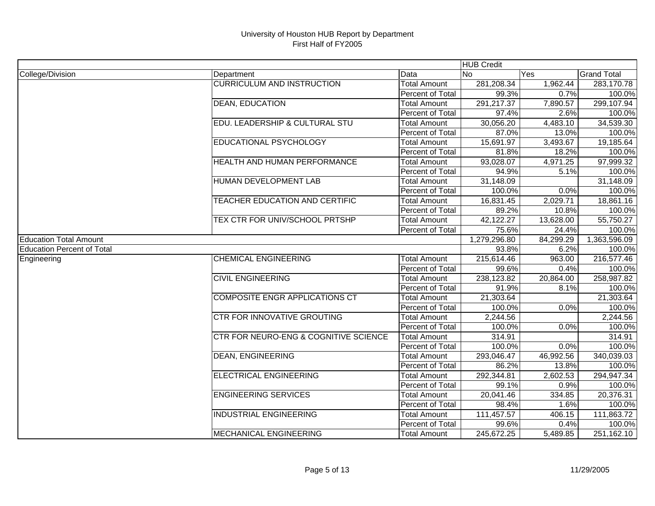|                                   |                                       |                     | <b>HUB Credit</b> |           |                    |
|-----------------------------------|---------------------------------------|---------------------|-------------------|-----------|--------------------|
| College/Division                  | Department                            | Data                | No                | Yes       | <b>Grand Total</b> |
|                                   | <b>CURRICULUM AND INSTRUCTION</b>     | Total Amount        | 281,208.34        | 1,962.44  | 283,170.78         |
|                                   |                                       | Percent of Total    | 99.3%             | 0.7%      | 100.0%             |
|                                   | <b>DEAN, EDUCATION</b>                | <b>Total Amount</b> | 291,217.37        | 7,890.57  | 299,107.94         |
|                                   |                                       | Percent of Total    | 97.4%             | 2.6%      | 100.0%             |
|                                   | EDU. LEADERSHIP & CULTURAL STU        | <b>Total Amount</b> | 30,056.20         | 4,483.10  | 34,539.30          |
|                                   |                                       | Percent of Total    | 87.0%             | 13.0%     | 100.0%             |
|                                   | EDUCATIONAL PSYCHOLOGY                | <b>Total Amount</b> | 15,691.97         | 3,493.67  | 19,185.64          |
|                                   |                                       | Percent of Total    | 81.8%             | 18.2%     | 100.0%             |
|                                   | HEALTH AND HUMAN PERFORMANCE          | <b>Total Amount</b> | 93,028.07         | 4,971.25  | 97,999.32          |
|                                   |                                       | Percent of Total    | 94.9%             | 5.1%      | 100.0%             |
|                                   | HUMAN DEVELOPMENT LAB                 | <b>Total Amount</b> | 31,148.09         |           | 31,148.09          |
|                                   |                                       | Percent of Total    | 100.0%            | 0.0%      | 100.0%             |
|                                   | <b>TEACHER EDUCATION AND CERTIFIC</b> | <b>Total Amount</b> | 16,831.45         | 2,029.71  | 18,861.16          |
|                                   |                                       | Percent of Total    | 89.2%             | 10.8%     | 100.0%             |
|                                   | TEX CTR FOR UNIV/SCHOOL PRTSHP        | <b>Total Amount</b> | 42,122.27         | 13,628.00 | 55,750.27          |
|                                   |                                       | Percent of Total    | 75.6%             | 24.4%     | 100.0%             |
| <b>Education Total Amount</b>     |                                       |                     | 1,279,296.80      | 84,299.29 | 1,363,596.09       |
| <b>Education Percent of Total</b> |                                       |                     | 93.8%             | 6.2%      | 100.0%             |
| Engineering                       | <b>CHEMICAL ENGINEERING</b>           | <b>Total Amount</b> | 215,614.46        | 963.00    | 216,577.46         |
|                                   |                                       | Percent of Total    | 99.6%             | 0.4%      | 100.0%             |
|                                   | <b>CIVIL ENGINEERING</b>              | <b>Total Amount</b> | 238,123.82        | 20,864.00 | 258,987.82         |
|                                   |                                       | Percent of Total    | 91.9%             | 8.1%      | 100.0%             |
|                                   | <b>COMPOSITE ENGR APPLICATIONS CT</b> | <b>Total Amount</b> | 21,303.64         |           | 21,303.64          |
|                                   |                                       | Percent of Total    | 100.0%            | 0.0%      | 100.0%             |
|                                   | <b>CTR FOR INNOVATIVE GROUTING</b>    | Total Amount        | 2,244.56          |           | 2,244.56           |
|                                   |                                       | Percent of Total    | 100.0%            | 0.0%      | 100.0%             |
|                                   | CTR FOR NEURO-ENG & COGNITIVE SCIENCE | <b>Total Amount</b> | 314.91            |           | 314.91             |
|                                   |                                       | Percent of Total    | 100.0%            | 0.0%      | 100.0%             |
|                                   | <b>DEAN, ENGINEERING</b>              | <b>Total Amount</b> | 293,046.47        | 46,992.56 | 340,039.03         |
|                                   |                                       | Percent of Total    | 86.2%             | 13.8%     | 100.0%             |
|                                   | <b>ELECTRICAL ENGINEERING</b>         | <b>Total Amount</b> | 292,344.81        | 2,602.53  | 294,947.34         |
|                                   |                                       | Percent of Total    | 99.1%             | 0.9%      | 100.0%             |
|                                   | <b>ENGINEERING SERVICES</b>           | <b>Total Amount</b> | 20,041.46         | 334.85    | 20,376.31          |
|                                   |                                       | Percent of Total    | 98.4%             | 1.6%      | 100.0%             |
|                                   | <b>INDUSTRIAL ENGINEERING</b>         | <b>Total Amount</b> | 111,457.57        | 406.15    | 111,863.72         |
|                                   |                                       | Percent of Total    | 99.6%             | 0.4%      | 100.0%             |
|                                   | <b>MECHANICAL ENGINEERING</b>         | <b>Total Amount</b> | 245,672.25        | 5,489.85  | 251,162.10         |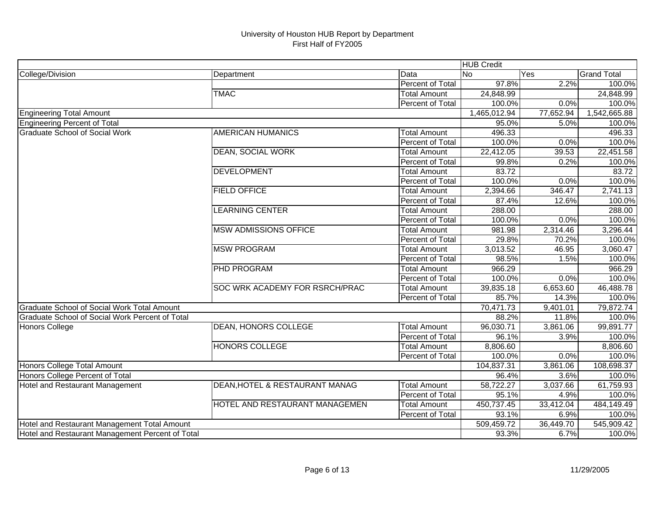|                                                  |                                |                         | <b>HUB Credit</b> |           |                    |
|--------------------------------------------------|--------------------------------|-------------------------|-------------------|-----------|--------------------|
| College/Division                                 | Department                     | Data                    | No.               | Yes       | <b>Grand Total</b> |
|                                                  |                                | Percent of Total        | 97.8%             | 2.2%      | 100.0%             |
|                                                  | <b>TMAC</b>                    | <b>Total Amount</b>     | 24,848.99         |           | 24,848.99          |
|                                                  |                                | Percent of Total        | 100.0%            | 0.0%      | 100.0%             |
| <b>Engineering Total Amount</b>                  |                                |                         | 1,465,012.94      | 77,652.94 | 1,542,665.88       |
| Engineering Percent of Total                     |                                |                         | 95.0%             | 5.0%      | 100.0%             |
| <b>Graduate School of Social Work</b>            | <b>AMERICAN HUMANICS</b>       | <b>Total Amount</b>     | 496.33            |           | 496.33             |
|                                                  |                                | <b>Percent of Total</b> | 100.0%            | 0.0%      | 100.0%             |
|                                                  | <b>DEAN, SOCIAL WORK</b>       | <b>Total Amount</b>     | 22,412.05         | 39.53     | 22,451.58          |
|                                                  |                                | Percent of Total        | 99.8%             | 0.2%      | 100.0%             |
|                                                  | <b>DEVELOPMENT</b>             | <b>Total Amount</b>     | 83.72             |           | 83.72              |
|                                                  |                                | Percent of Total        | 100.0%            | 0.0%      | 100.0%             |
|                                                  | <b>FIELD OFFICE</b>            | <b>Total Amount</b>     | 2,394.66          | 346.47    | 2,741.13           |
|                                                  |                                | Percent of Total        | 87.4%             | 12.6%     | 100.0%             |
|                                                  | <b>LEARNING CENTER</b>         | <b>Total Amount</b>     | 288.00            |           | 288.00             |
|                                                  |                                | Percent of Total        | 100.0%            | 0.0%      | 100.0%             |
|                                                  | <b>MSW ADMISSIONS OFFICE</b>   | <b>Total Amount</b>     | 981.98            | 2,314.46  | 3,296.44           |
|                                                  |                                | Percent of Total        | 29.8%             | 70.2%     | 100.0%             |
|                                                  | <b>MSW PROGRAM</b>             | <b>Total Amount</b>     | 3,013.52          | 46.95     | 3,060.47           |
|                                                  |                                | Percent of Total        | 98.5%             | 1.5%      | 100.0%             |
|                                                  | PHD PROGRAM                    | <b>Total Amount</b>     | 966.29            |           | 966.29             |
|                                                  |                                | Percent of Total        | 100.0%            | 0.0%      | 100.0%             |
|                                                  | SOC WRK ACADEMY FOR RSRCH/PRAC | <b>Total Amount</b>     | 39,835.18         | 6,653.60  | 46,488.78          |
|                                                  |                                | Percent of Total        | 85.7%             | 14.3%     | 100.0%             |
| Graduate School of Social Work Total Amount      |                                |                         | 70,471.73         | 9,401.01  | 79,872.74          |
| Graduate School of Social Work Percent of Total  |                                |                         | 88.2%             | 11.8%     | 100.0%             |
| <b>Honors College</b>                            | DEAN, HONORS COLLEGE           | <b>Total Amount</b>     | 96,030.71         | 3,861.06  | 99,891.77          |
|                                                  |                                | Percent of Total        | 96.1%             | 3.9%      | 100.0%             |
|                                                  | <b>HONORS COLLEGE</b>          | Total Amount            | 8,806.60          |           | 8,806.60           |
|                                                  |                                | Percent of Total        | 100.0%            | 0.0%      | 100.0%             |
| Honors College Total Amount                      |                                |                         | 104,837.31        | 3,861.06  | 108,698.37         |
| Honors College Percent of Total                  |                                |                         | 96.4%             | 3.6%      | 100.0%             |
| <b>Hotel and Restaurant Management</b>           | DEAN, HOTEL & RESTAURANT MANAG | <b>Total Amount</b>     | 58,722.27         | 3,037.66  | 61,759.93          |
|                                                  |                                | Percent of Total        | 95.1%             | 4.9%      | 100.0%             |
|                                                  | HOTEL AND RESTAURANT MANAGEMEN | <b>Total Amount</b>     | 450,737.45        | 33,412.04 | 484,149.49         |
|                                                  |                                | Percent of Total        | 93.1%             | 6.9%      | 100.0%             |
| Hotel and Restaurant Management Total Amount     |                                |                         | 509,459.72        | 36,449.70 | 545,909.42         |
| Hotel and Restaurant Management Percent of Total |                                |                         | 93.3%             | 6.7%      | 100.0%             |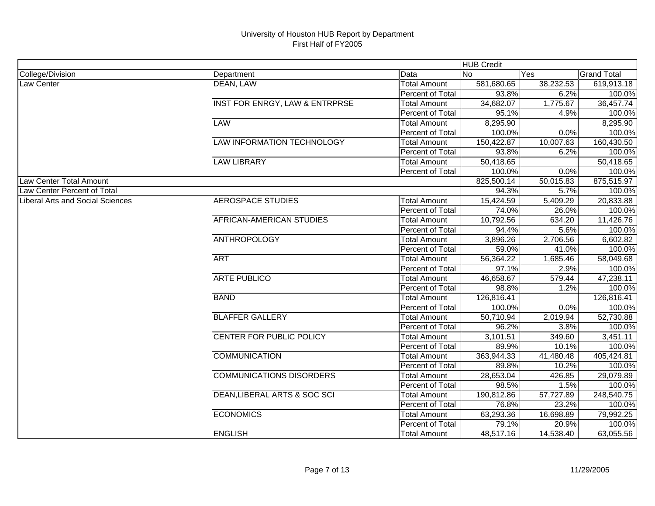|                                         |                                           |                         | <b>HUB Credit</b> |           |                         |
|-----------------------------------------|-------------------------------------------|-------------------------|-------------------|-----------|-------------------------|
| College/Division                        | Department                                | Data                    | <b>No</b>         | Yes       | <b>Grand Total</b>      |
| Law Center                              | <b>DEAN, LAW</b>                          | <b>Total Amount</b>     | 581,680.65        | 38,232.53 | 619,913.18              |
|                                         |                                           | Percent of Total        | 93.8%             | 6.2%      | 100.0%                  |
|                                         | <b>INST FOR ENRGY, LAW &amp; ENTRPRSE</b> | <b>Total Amount</b>     | 34,682.07         | 1,775.67  | 36,457.74               |
|                                         |                                           | Percent of Total        | 95.1%             | 4.9%      | 100.0%                  |
|                                         | <b>LAW</b>                                | <b>Total Amount</b>     | 8,295.90          |           | 8,295.90                |
|                                         |                                           | Percent of Total        | 100.0%            | 0.0%      | 100.0%                  |
|                                         | <b>LAW INFORMATION TECHNOLOGY</b>         | <b>Total Amount</b>     | 150,422.87        | 10,007.63 | 160,430.50              |
|                                         |                                           | Percent of Total        | 93.8%             | 6.2%      | 100.0%                  |
|                                         | <b>LAW LIBRARY</b>                        | <b>Total Amount</b>     | 50,418.65         |           | $\overline{50}$ ,418.65 |
|                                         |                                           | <b>Percent of Total</b> | 100.0%            | 0.0%      | 100.0%                  |
| Law Center Total Amount                 |                                           |                         | 825,500.14        | 50,015.83 | 875,515.97              |
| Law Center Percent of Total             |                                           |                         | 94.3%             | 5.7%      | 100.0%                  |
| <b>Liberal Arts and Social Sciences</b> | <b>AEROSPACE STUDIES</b>                  | <b>Total Amount</b>     | 15,424.59         | 5,409.29  | 20,833.88               |
|                                         |                                           | Percent of Total        | 74.0%             | 26.0%     | 100.0%                  |
|                                         | AFRICAN-AMERICAN STUDIES                  | <b>Total Amount</b>     | 10,792.56         | 634.20    | 11,426.76               |
|                                         |                                           | Percent of Total        | 94.4%             | 5.6%      | 100.0%                  |
|                                         | <b>ANTHROPOLOGY</b>                       | <b>Total Amount</b>     | 3,896.26          | 2,706.56  | 6,602.82                |
|                                         |                                           | Percent of Total        | 59.0%             | 41.0%     | 100.0%                  |
|                                         | <b>ART</b>                                | <b>Total Amount</b>     | 56,364.22         | 1,685.46  | 58,049.68               |
|                                         |                                           | Percent of Total        | 97.1%             | 2.9%      | 100.0%                  |
|                                         | <b>ARTE PUBLICO</b>                       | <b>Total Amount</b>     | 46,658.67         | 579.44    | 47,238.11               |
|                                         |                                           | Percent of Total        | 98.8%             | 1.2%      | 100.0%                  |
|                                         | <b>BAND</b>                               | <b>Total Amount</b>     | 126,816.41        |           | 126,816.41              |
|                                         |                                           | Percent of Total        | 100.0%            | 0.0%      | 100.0%                  |
|                                         | <b>BLAFFER GALLERY</b>                    | <b>Total Amount</b>     | 50,710.94         | 2,019.94  | 52,730.88               |
|                                         |                                           | Percent of Total        | 96.2%             | 3.8%      | 100.0%                  |
|                                         | CENTER FOR PUBLIC POLICY                  | <b>Total Amount</b>     | 3,101.51          | 349.60    | 3,451.11                |
|                                         |                                           | Percent of Total        | 89.9%             | 10.1%     | 100.0%                  |
|                                         | <b>COMMUNICATION</b>                      | <b>Total Amount</b>     | 363,944.33        | 41,480.48 | 405,424.81              |
|                                         |                                           | Percent of Total        | 89.8%             | 10.2%     | 100.0%                  |
|                                         | <b>COMMUNICATIONS DISORDERS</b>           | <b>Total Amount</b>     | 28,653.04         | 426.85    | 29,079.89               |
|                                         |                                           | Percent of Total        | 98.5%             | 1.5%      | 100.0%                  |
|                                         | DEAN, LIBERAL ARTS & SOC SCI              | <b>Total Amount</b>     | 190,812.86        | 57,727.89 | 248,540.75              |
|                                         |                                           | Percent of Total        | 76.8%             | 23.2%     | 100.0%                  |
|                                         | <b>ECONOMICS</b>                          | <b>Total Amount</b>     | 63,293.36         | 16,698.89 | 79,992.25               |
|                                         |                                           | Percent of Total        | 79.1%             | 20.9%     | 100.0%                  |
|                                         | <b>ENGLISH</b>                            | <b>Total Amount</b>     | 48,517.16         | 14,538.40 | 63,055.56               |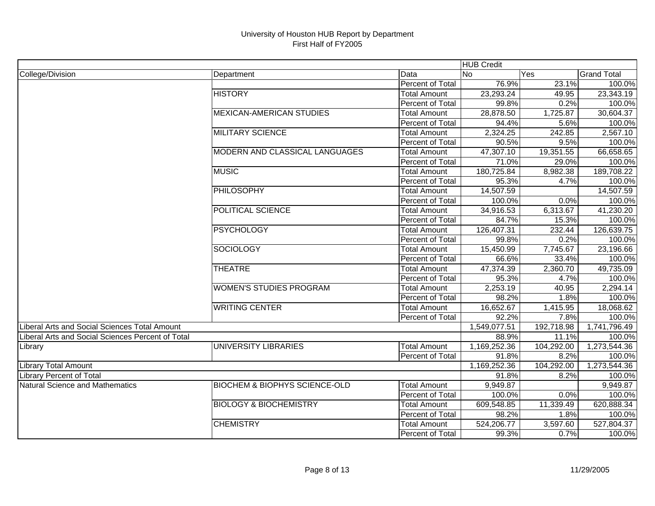|                                                   |                                          |                     | <b>HUB Credit</b> |            |                    |
|---------------------------------------------------|------------------------------------------|---------------------|-------------------|------------|--------------------|
| College/Division                                  | Department                               | Data                | No.               | Yes        | <b>Grand Total</b> |
|                                                   |                                          | Percent of Total    | 76.9%             | 23.1%      | 100.0%             |
|                                                   | <b>HISTORY</b>                           | <b>Total Amount</b> | 23,293.24         | 49.95      | 23,343.19          |
|                                                   |                                          | Percent of Total    | 99.8%             | 0.2%       | 100.0%             |
|                                                   | <b>MEXICAN-AMERICAN STUDIES</b>          | <b>Total Amount</b> | 28,878.50         | 1,725.87   | 30,604.37          |
|                                                   |                                          | Percent of Total    | 94.4%             | 5.6%       | 100.0%             |
|                                                   | <b>MILITARY SCIENCE</b>                  | <b>Total Amount</b> | 2,324.25          | 242.85     | 2,567.10           |
|                                                   |                                          | Percent of Total    | 90.5%             | 9.5%       | 100.0%             |
|                                                   | MODERN AND CLASSICAL LANGUAGES           | <b>Total Amount</b> | 47,307.10         | 19,351.55  | 66,658.65          |
|                                                   |                                          | Percent of Total    | 71.0%             | 29.0%      | 100.0%             |
|                                                   | <b>MUSIC</b>                             | <b>Total Amount</b> | 180,725.84        | 8,982.38   | 189,708.22         |
|                                                   |                                          | Percent of Total    | 95.3%             | 4.7%       | 100.0%             |
|                                                   | <b>PHILOSOPHY</b>                        | <b>Total Amount</b> | 14,507.59         |            | 14,507.59          |
|                                                   |                                          | Percent of Total    | 100.0%            | 0.0%       | 100.0%             |
|                                                   | POLITICAL SCIENCE                        | <b>Total Amount</b> | 34,916.53         | 6,313.67   | 41,230.20          |
|                                                   |                                          | Percent of Total    | 84.7%             | 15.3%      | 100.0%             |
|                                                   | <b>PSYCHOLOGY</b>                        | <b>Total Amount</b> | 126,407.31        | 232.44     | 126,639.75         |
|                                                   |                                          | Percent of Total    | 99.8%             | 0.2%       | 100.0%             |
|                                                   | <b>SOCIOLOGY</b>                         | <b>Total Amount</b> | 15,450.99         | 7,745.67   | 23,196.66          |
|                                                   |                                          | Percent of Total    | 66.6%             | 33.4%      | 100.0%             |
|                                                   | <b>THEATRE</b>                           | <b>Total Amount</b> | 47,374.39         | 2,360.70   | 49,735.09          |
|                                                   |                                          | Percent of Total    | 95.3%             | 4.7%       | 100.0%             |
|                                                   | <b>WOMEN'S STUDIES PROGRAM</b>           | <b>Total Amount</b> | 2,253.19          | 40.95      | 2,294.14           |
|                                                   |                                          | Percent of Total    | 98.2%             | 1.8%       | 100.0%             |
|                                                   | <b>WRITING CENTER</b>                    | <b>Total Amount</b> | 16,652.67         | 1,415.95   | 18,068.62          |
|                                                   |                                          | Percent of Total    | 92.2%             | 7.8%       | 100.0%             |
| Liberal Arts and Social Sciences Total Amount     |                                          |                     | 1,549,077.51      | 192,718.98 | 1,741,796.49       |
| Liberal Arts and Social Sciences Percent of Total |                                          |                     | 88.9%             | 11.1%      | 100.0%             |
| Library                                           | UNIVERSITY LIBRARIES                     | <b>Total Amount</b> | 1,169,252.36      | 104,292.00 | 1,273,544.36       |
|                                                   |                                          | Percent of Total    | 91.8%             | 8.2%       | 100.0%             |
| <b>Library Total Amount</b>                       |                                          |                     | 1,169,252.36      | 104,292.00 | 1,273,544.36       |
| <b>Library Percent of Total</b>                   |                                          |                     | 91.8%             | 8.2%       | 100.0%             |
| <b>Natural Science and Mathematics</b>            | <b>BIOCHEM &amp; BIOPHYS SCIENCE-OLD</b> | <b>Total Amount</b> | 9,949.87          |            | 9,949.87           |
|                                                   |                                          | Percent of Total    | 100.0%            | 0.0%       | 100.0%             |
|                                                   | <b>BIOLOGY &amp; BIOCHEMISTRY</b>        | <b>Total Amount</b> | 609,548.85        | 11,339.49  | 620,888.34         |
|                                                   |                                          | Percent of Total    | 98.2%             | 1.8%       | 100.0%             |
|                                                   | <b>CHEMISTRY</b>                         | <b>Total Amount</b> | 524,206.77        | 3,597.60   | 527,804.37         |
|                                                   |                                          | Percent of Total    | 99.3%             | 0.7%       | 100.0%             |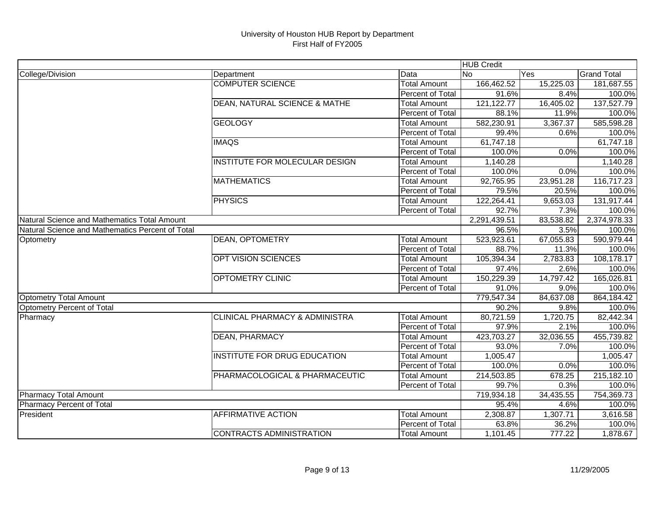|                                                  |                                           |                     | <b>HUB Credit</b> |           |                    |
|--------------------------------------------------|-------------------------------------------|---------------------|-------------------|-----------|--------------------|
| College/Division                                 | Department                                | Data                | No.               | Yes       | <b>Grand Total</b> |
|                                                  | <b>COMPUTER SCIENCE</b>                   | <b>Total Amount</b> | 166,462.52        | 15,225.03 | 181,687.55         |
|                                                  |                                           | Percent of Total    | 91.6%             | 8.4%      | 100.0%             |
|                                                  | <b>DEAN, NATURAL SCIENCE &amp; MATHE</b>  | <b>Total Amount</b> | 121, 122. 77      | 16,405.02 | 137,527.79         |
|                                                  |                                           | Percent of Total    | 88.1%             | 11.9%     | 100.0%             |
|                                                  | <b>GEOLOGY</b>                            | <b>Total Amount</b> | 582,230.91        | 3,367.37  | 585,598.28         |
|                                                  |                                           | Percent of Total    | 99.4%             | 0.6%      | 100.0%             |
|                                                  | <b>IMAQS</b>                              | <b>Total Amount</b> | 61,747.18         |           | 61,747.18          |
|                                                  |                                           | Percent of Total    | 100.0%            | 0.0%      | 100.0%             |
|                                                  | <b>INSTITUTE FOR MOLECULAR DESIGN</b>     | <b>Total Amount</b> | 1,140.28          |           | 1,140.28           |
|                                                  |                                           | Percent of Total    | 100.0%            | 0.0%      | 100.0%             |
|                                                  | <b>MATHEMATICS</b>                        | <b>Total Amount</b> | 92,765.95         | 23,951.28 | 116,717.23         |
|                                                  |                                           | Percent of Total    | 79.5%             | 20.5%     | 100.0%             |
|                                                  | <b>PHYSICS</b>                            | <b>Total Amount</b> | 122,264.41        | 9,653.03  | 131,917.44         |
|                                                  |                                           | Percent of Total    | 92.7%             | 7.3%      | 100.0%             |
| Natural Science and Mathematics Total Amount     |                                           |                     | 2,291,439.51      | 83,538.82 | 2,374,978.33       |
| Natural Science and Mathematics Percent of Total |                                           |                     | 96.5%             | 3.5%      | 100.0%             |
| Optometry                                        | <b>DEAN, OPTOMETRY</b>                    | <b>Total Amount</b> | 523,923.61        | 67,055.83 | 590,979.44         |
|                                                  |                                           | Percent of Total    | 88.7%             | 11.3%     | 100.0%             |
|                                                  | <b>OPT VISION SCIENCES</b>                | <b>Total Amount</b> | 105,394.34        | 2,783.83  | 108,178.17         |
|                                                  |                                           | Percent of Total    | 97.4%             | 2.6%      | 100.0%             |
|                                                  | <b>OPTOMETRY CLINIC</b>                   | <b>Total Amount</b> | 150,229.39        | 14,797.42 | 165,026.81         |
|                                                  |                                           | Percent of Total    | 91.0%             | 9.0%      | 100.0%             |
| <b>Optometry Total Amount</b>                    |                                           |                     | 779,547.34        | 84,637.08 | 864,184.42         |
| <b>Optometry Percent of Total</b>                |                                           |                     | 90.2%             | 9.8%      | 100.0%             |
| Pharmacy                                         | <b>CLINICAL PHARMACY &amp; ADMINISTRA</b> | Total Amount        | 80,721.59         | 1,720.75  | 82,442.34          |
|                                                  |                                           | Percent of Total    | 97.9%             | 2.1%      | 100.0%             |
|                                                  | <b>DEAN, PHARMACY</b>                     | <b>Total Amount</b> | 423,703.27        | 32,036.55 | 455,739.82         |
|                                                  |                                           | Percent of Total    | 93.0%             | 7.0%      | 100.0%             |
|                                                  | <b>INSTITUTE FOR DRUG EDUCATION</b>       | <b>Total Amount</b> | 1,005.47          |           | 1,005.47           |
|                                                  |                                           | Percent of Total    | 100.0%            | 0.0%      | 100.0%             |
|                                                  | PHARMACOLOGICAL & PHARMACEUTIC            | <b>Total Amount</b> | 214,503.85        | 678.25    | 215,182.10         |
|                                                  |                                           | Percent of Total    | 99.7%             | 0.3%      | 100.0%             |
| Pharmacy Total Amount                            |                                           |                     | 719,934.18        | 34,435.55 | 754,369.73         |
| <b>Pharmacy Percent of Total</b>                 |                                           |                     | 95.4%             | 4.6%      | 100.0%             |
| President                                        | <b>AFFIRMATIVE ACTION</b>                 | <b>Total Amount</b> | 2,308.87          | 1,307.71  | 3,616.58           |
|                                                  |                                           | Percent of Total    | 63.8%             | 36.2%     | 100.0%             |
|                                                  | <b>CONTRACTS ADMINISTRATION</b>           | <b>Total Amount</b> | 1,101.45          | 777.22    | 1,878.67           |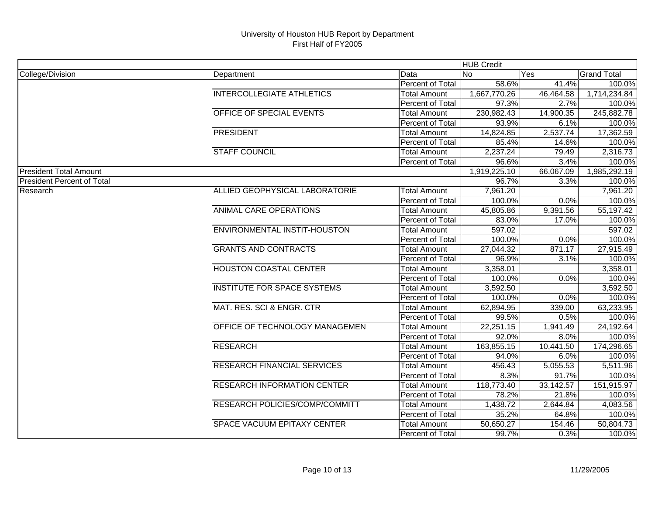|                                   |                                    |                         | <b>HUB Credit</b> |           |                    |
|-----------------------------------|------------------------------------|-------------------------|-------------------|-----------|--------------------|
| College/Division                  | Department                         | Data                    | lNo               | Yes       | <b>Grand Total</b> |
|                                   |                                    | Percent of Total        | 58.6%             | 41.4%     | 100.0%             |
|                                   | <b>INTERCOLLEGIATE ATHLETICS</b>   | <b>Total Amount</b>     | 1,667,770.26      | 46,464.58 | 1,714,234.84       |
|                                   |                                    | Percent of Total        | 97.3%             | 2.7%      | 100.0%             |
|                                   | OFFICE OF SPECIAL EVENTS           | <b>Total Amount</b>     | 230,982.43        | 14,900.35 | 245,882.78         |
|                                   |                                    | Percent of Total        | 93.9%             | 6.1%      | 100.0%             |
|                                   | <b>PRESIDENT</b>                   | <b>Total Amount</b>     | 14,824.85         | 2,537.74  | 17,362.59          |
|                                   |                                    | Percent of Total        | 85.4%             | 14.6%     | 100.0%             |
|                                   | <b>STAFF COUNCIL</b>               | <b>Total Amount</b>     | 2,237.24          | 79.49     | 2,316.73           |
|                                   |                                    | Percent of Total        | 96.6%             | 3.4%      | 100.0%             |
| <b>President Total Amount</b>     |                                    |                         | 1,919,225.10      | 66,067.09 | 1,985,292.19       |
| <b>President Percent of Total</b> |                                    |                         | 96.7%             | 3.3%      | 100.0%             |
| Research                          | ALLIED GEOPHYSICAL LABORATORIE     | <b>Total Amount</b>     | 7,961.20          |           | 7,961.20           |
|                                   |                                    | Percent of Total        | 100.0%            | 0.0%      | 100.0%             |
|                                   | <b>ANIMAL CARE OPERATIONS</b>      | <b>Total Amount</b>     | 45,805.86         | 9,391.56  | 55,197.42          |
|                                   |                                    | Percent of Total        | 83.0%             | 17.0%     | 100.0%             |
|                                   | ENVIRONMENTAL INSTIT-HOUSTON       | <b>Total Amount</b>     | 597.02            |           | 597.02             |
|                                   |                                    | Percent of Total        | 100.0%            | 0.0%      | 100.0%             |
|                                   | <b>GRANTS AND CONTRACTS</b>        | <b>Total Amount</b>     | 27,044.32         | 871.17    | 27,915.49          |
|                                   |                                    | Percent of Total        | 96.9%             | 3.1%      | 100.0%             |
|                                   | <b>HOUSTON COASTAL CENTER</b>      | <b>Total Amount</b>     | 3,358.01          |           | 3,358.01           |
|                                   |                                    | Percent of Total        | 100.0%            | 0.0%      | 100.0%             |
|                                   | <b>INSTITUTE FOR SPACE SYSTEMS</b> | <b>Total Amount</b>     | 3,592.50          |           | 3,592.50           |
|                                   |                                    | Percent of Total        | 100.0%            | 0.0%      | 100.0%             |
|                                   | MAT. RES. SCI & ENGR. CTR          | <b>Total Amount</b>     | 62,894.95         | 339.00    | 63,233.95          |
|                                   |                                    | Percent of Total        | 99.5%             | 0.5%      | 100.0%             |
|                                   | OFFICE OF TECHNOLOGY MANAGEMEN     | <b>Total Amount</b>     | 22,251.15         | 1,941.49  | 24,192.64          |
|                                   |                                    | Percent of Total        | 92.0%             | 8.0%      | 100.0%             |
|                                   | <b>RESEARCH</b>                    | <b>Total Amount</b>     | 163,855.15        | 10,441.50 | 174,296.65         |
|                                   |                                    | Percent of Total        | 94.0%             | 6.0%      | 100.0%             |
|                                   | <b>RESEARCH FINANCIAL SERVICES</b> | <b>Total Amount</b>     | 456.43            | 5,055.53  | 5,511.96           |
|                                   |                                    | Percent of Total        | 8.3%              | 91.7%     | 100.0%             |
|                                   | <b>RESEARCH INFORMATION CENTER</b> | <b>Total Amount</b>     | 118,773.40        | 33,142.57 | 151,915.97         |
|                                   |                                    | Percent of Total        | 78.2%             | 21.8%     | 100.0%             |
|                                   | RESEARCH POLICIES/COMP/COMMITT     | <b>Total Amount</b>     | 1,438.72          | 2,644.84  | 4,083.56           |
|                                   |                                    | Percent of Total        | 35.2%             | 64.8%     | 100.0%             |
|                                   | <b>SPACE VACUUM EPITAXY CENTER</b> | <b>Total Amount</b>     | 50,650.27         | 154.46    | 50,804.73          |
|                                   |                                    | <b>Percent of Total</b> | 99.7%             | 0.3%      | 100.0%             |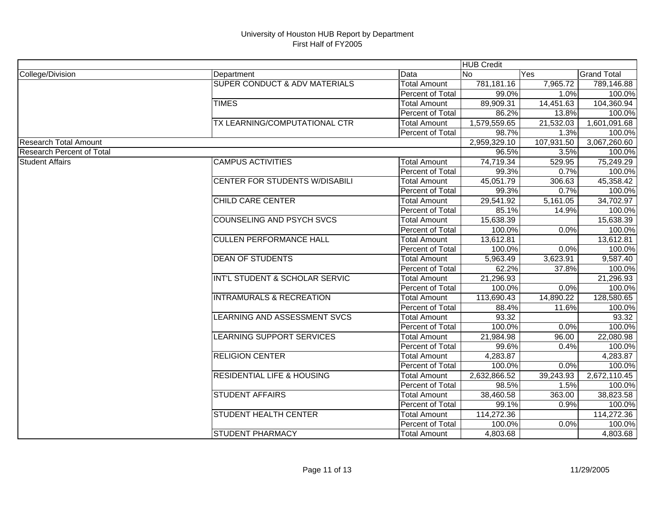|                                  |                                          |                     | <b>HUB Credit</b> |                        |                    |
|----------------------------------|------------------------------------------|---------------------|-------------------|------------------------|--------------------|
| College/Division                 | Department                               | Data                | <b>No</b>         | Yes                    | <b>Grand Total</b> |
|                                  | <b>SUPER CONDUCT &amp; ADV MATERIALS</b> | <b>Total Amount</b> | 781,181.16        | 7,965.72               | 789,146.88         |
|                                  |                                          | Percent of Total    | 99.0%             | 1.0%                   | 100.0%             |
|                                  | <b>TIMES</b>                             | <b>Total Amount</b> | 89,909.31         | $\overline{14,}451.63$ | 104,360.94         |
|                                  |                                          | Percent of Total    | 86.2%             | 13.8%                  | 100.0%             |
|                                  | TX LEARNING/COMPUTATIONAL CTR            | <b>Total Amount</b> | 1,579,559.65      | 21,532.03              | 1,601,091.68       |
|                                  |                                          | Percent of Total    | 98.7%             | 1.3%                   | 100.0%             |
| <b>Research Total Amount</b>     |                                          |                     | 2,959,329.10      | 107,931.50             | 3,067,260.60       |
| <b>Research Percent of Total</b> |                                          |                     | 96.5%             | 3.5%                   | 100.0%             |
| <b>Student Affairs</b>           | <b>CAMPUS ACTIVITIES</b>                 | <b>Total Amount</b> | 74,719.34         | 529.95                 | 75,249.29          |
|                                  |                                          | Percent of Total    | 99.3%             | 0.7%                   | 100.0%             |
|                                  | <b>CENTER FOR STUDENTS W/DISABILI</b>    | <b>Total Amount</b> | 45,051.79         | 306.63                 | 45,358.42          |
|                                  |                                          | Percent of Total    | 99.3%             | 0.7%                   | 100.0%             |
|                                  | <b>CHILD CARE CENTER</b>                 | <b>Total Amount</b> | 29,541.92         | 5,161.05               | 34,702.97          |
|                                  |                                          | Percent of Total    | 85.1%             | 14.9%                  | 100.0%             |
|                                  | <b>COUNSELING AND PSYCH SVCS</b>         | <b>Total Amount</b> | 15,638.39         |                        | 15,638.39          |
|                                  |                                          | Percent of Total    | 100.0%            | 0.0%                   | 100.0%             |
|                                  | <b>CULLEN PERFORMANCE HALL</b>           | <b>Total Amount</b> | 13,612.81         |                        | 13,612.81          |
|                                  |                                          | Percent of Total    | 100.0%            | 0.0%                   | 100.0%             |
|                                  | <b>DEAN OF STUDENTS</b>                  | <b>Total Amount</b> | 5,963.49          | 3,623.91               | 9,587.40           |
|                                  |                                          | Percent of Total    | 62.2%             | 37.8%                  | 100.0%             |
|                                  | INT'L STUDENT & SCHOLAR SERVIC           | <b>Total Amount</b> | 21,296.93         |                        | 21,296.93          |
|                                  |                                          | Percent of Total    | 100.0%            | 0.0%                   | 100.0%             |
|                                  | <b>INTRAMURALS &amp; RECREATION</b>      | <b>Total Amount</b> | 113,690.43        | 14,890.22              | 128,580.65         |
|                                  |                                          | Percent of Total    | 88.4%             | 11.6%                  | 100.0%             |
|                                  | LEARNING AND ASSESSMENT SVCS             | <b>Total Amount</b> | 93.32             |                        | 93.32              |
|                                  |                                          | Percent of Total    | 100.0%            | 0.0%                   | 100.0%             |
|                                  | LEARNING SUPPORT SERVICES                | <b>Total Amount</b> | 21,984.98         | 96.00                  | 22,080.98          |
|                                  |                                          | Percent of Total    | 99.6%             | 0.4%                   | 100.0%             |
|                                  | <b>RELIGION CENTER</b>                   | <b>Total Amount</b> | 4,283.87          |                        | 4,283.87           |
|                                  |                                          | Percent of Total    | 100.0%            | 0.0%                   | 100.0%             |
|                                  | <b>RESIDENTIAL LIFE &amp; HOUSING</b>    | Total Amount        | 2,632,866.52      | 39,243.93              | 2,672,110.45       |
|                                  |                                          | Percent of Total    | 98.5%             | 1.5%                   | 100.0%             |
|                                  | <b>STUDENT AFFAIRS</b>                   | <b>Total Amount</b> | 38,460.58         | 363.00                 | 38,823.58          |
|                                  |                                          | Percent of Total    | 99.1%             | 0.9%                   | 100.0%             |
|                                  | <b>STUDENT HEALTH CENTER</b>             | <b>Total Amount</b> | 114,272.36        |                        | 114,272.36         |
|                                  |                                          | Percent of Total    | 100.0%            | 0.0%                   | 100.0%             |
|                                  | <b>STUDENT PHARMACY</b>                  | <b>Total Amount</b> | 4,803.68          |                        | 4,803.68           |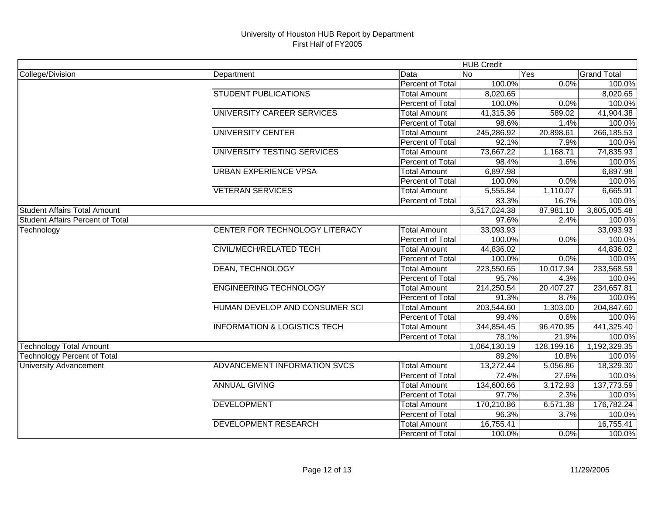|                                         |                                         |                     | <b>HUB Credit</b> |            |                    |
|-----------------------------------------|-----------------------------------------|---------------------|-------------------|------------|--------------------|
| College/Division                        | Department                              | Data                | <b>No</b>         | Yes        | <b>Grand Total</b> |
|                                         |                                         | Percent of Total    | 100.0%            | 0.0%       | 100.0%             |
|                                         | <b>STUDENT PUBLICATIONS</b>             | <b>Total Amount</b> | 8,020.65          |            | 8,020.65           |
|                                         |                                         | Percent of Total    | 100.0%            | 0.0%       | 100.0%             |
|                                         | UNIVERSITY CAREER SERVICES              | <b>Total Amount</b> | 41,315.36         | 589.02     | 41,904.38          |
|                                         |                                         | Percent of Total    | 98.6%             | 1.4%       | 100.0%             |
|                                         | <b>UNIVERSITY CENTER</b>                | <b>Total Amount</b> | 245,286.92        | 20,898.61  | 266,185.53         |
|                                         |                                         | Percent of Total    | 92.1%             | 7.9%       | 100.0%             |
|                                         | UNIVERSITY TESTING SERVICES             | <b>Total Amount</b> | 73,667.22         | 1,168.71   | 74,835.93          |
|                                         |                                         | Percent of Total    | 98.4%             | 1.6%       | 100.0%             |
|                                         | <b>URBAN EXPERIENCE VPSA</b>            | <b>Total Amount</b> | 6,897.98          |            | 6,897.98           |
|                                         |                                         | Percent of Total    | 100.0%            | 0.0%       | 100.0%             |
|                                         | <b>VETERAN SERVICES</b>                 | <b>Total Amount</b> | 5,555.84          | 1,110.07   | 6,665.91           |
|                                         |                                         | Percent of Total    | 83.3%             | 16.7%      | 100.0%             |
| <b>Student Affairs Total Amount</b>     |                                         |                     | 3,517,024.38      | 87,981.10  | 3,605,005.48       |
| <b>Student Affairs Percent of Total</b> |                                         |                     | 97.6%             | 2.4%       | 100.0%             |
| Technology                              | CENTER FOR TECHNOLOGY LITERACY          | <b>Total Amount</b> | 33,093.93         |            | 33,093.93          |
|                                         |                                         | Percent of Total    | 100.0%            | 0.0%       | 100.0%             |
|                                         | <b>CIVIL/MECH/RELATED TECH</b>          | <b>Total Amount</b> | 44,836.02         |            | 44,836.02          |
|                                         |                                         | Percent of Total    | 100.0%            | 0.0%       | 100.0%             |
|                                         | <b>DEAN, TECHNOLOGY</b>                 | <b>Total Amount</b> | 223,550.65        | 10,017.94  | 233,568.59         |
|                                         |                                         | Percent of Total    | 95.7%             | 4.3%       | 100.0%             |
|                                         | <b>ENGINEERING TECHNOLOGY</b>           | <b>Total Amount</b> | 214,250.54        | 20,407.27  | 234,657.81         |
|                                         |                                         | Percent of Total    | 91.3%             | 8.7%       | 100.0%             |
|                                         | HUMAN DEVELOP AND CONSUMER SCI          | <b>Total Amount</b> | 203,544.60        | 1,303.00   | 204,847.60         |
|                                         |                                         | Percent of Total    | 99.4%             | 0.6%       | 100.0%             |
|                                         | <b>INFORMATION &amp; LOGISTICS TECH</b> | <b>Total Amount</b> | 344,854.45        | 96,470.95  | 441,325.40         |
|                                         |                                         | Percent of Total    | 78.1%             | 21.9%      | 100.0%             |
| <b>Technology Total Amount</b>          |                                         |                     | 1,064,130.19      | 128,199.16 | 1,192,329.35       |
| <b>Technology Percent of Total</b>      |                                         |                     | 89.2%             | 10.8%      | 100.0%             |
| <b>University Advancement</b>           | ADVANCEMENT INFORMATION SVCS            | <b>Total Amount</b> | 13,272.44         | 5,056.86   | 18,329.30          |
|                                         |                                         | Percent of Total    | 72.4%             | 27.6%      | 100.0%             |
|                                         | <b>ANNUAL GIVING</b>                    | <b>Total Amount</b> | 134,600.66        | 3,172.93   | 137,773.59         |
|                                         |                                         | Percent of Total    | 97.7%             | 2.3%       | 100.0%             |
|                                         | <b>DEVELOPMENT</b>                      | <b>Total Amount</b> | 170,210.86        | 6,571.38   | 176,782.24         |
|                                         |                                         | Percent of Total    | 96.3%             | 3.7%       | 100.0%             |
|                                         | <b>DEVELOPMENT RESEARCH</b>             | <b>Total Amount</b> | 16,755.41         |            | 16,755.41          |
|                                         |                                         | Percent of Total    | 100.0%            | 0.0%       | 100.0%             |